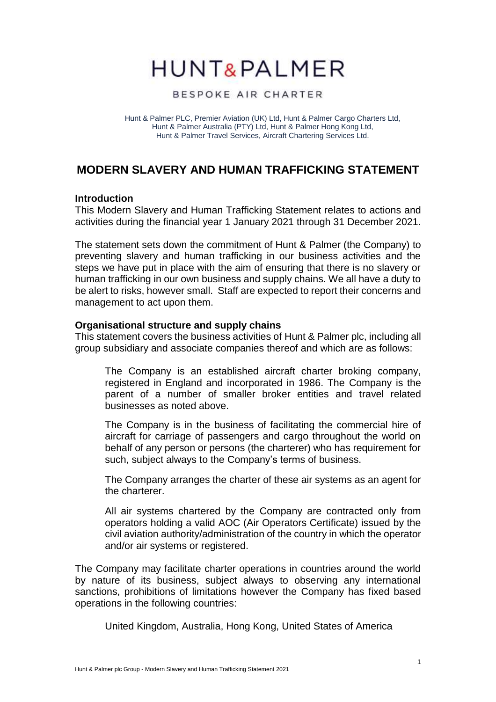# **HUNT&PALMER**

### BESPOKE AIR CHARTER

Hunt & Palmer PLC, Premier Aviation (UK) Ltd, Hunt & Palmer Cargo Charters Ltd, Hunt & Palmer Australia (PTY) Ltd, Hunt & Palmer Hong Kong Ltd, Hunt & Palmer Travel Services, Aircraft Chartering Services Ltd.

## **MODERN SLAVERY AND HUMAN TRAFFICKING STATEMENT**

#### **Introduction**

This Modern Slavery and Human Trafficking Statement relates to actions and activities during the financial year 1 January 2021 through 31 December 2021.

The statement sets down the commitment of Hunt & Palmer (the Company) to preventing slavery and human trafficking in our business activities and the steps we have put in place with the aim of ensuring that there is no slavery or human trafficking in our own business and supply chains. We all have a duty to be alert to risks, however small. Staff are expected to report their concerns and management to act upon them.

#### **Organisational structure and supply chains**

This statement covers the business activities of Hunt & Palmer plc, including all group subsidiary and associate companies thereof and which are as follows:

The Company is an established aircraft charter broking company, registered in England and incorporated in 1986. The Company is the parent of a number of smaller broker entities and travel related businesses as noted above.

The Company is in the business of facilitating the commercial hire of aircraft for carriage of passengers and cargo throughout the world on behalf of any person or persons (the charterer) who has requirement for such, subject always to the Company's terms of business.

The Company arranges the charter of these air systems as an agent for the charterer.

All air systems chartered by the Company are contracted only from operators holding a valid AOC (Air Operators Certificate) issued by the civil aviation authority/administration of the country in which the operator and/or air systems or registered.

The Company may facilitate charter operations in countries around the world by nature of its business, subject always to observing any international sanctions, prohibitions of limitations however the Company has fixed based operations in the following countries:

United Kingdom, Australia, Hong Kong, United States of America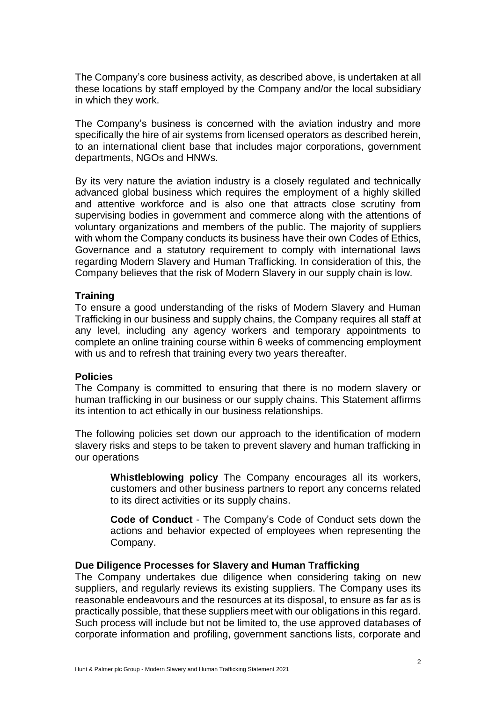The Company's core business activity, as described above, is undertaken at all these locations by staff employed by the Company and/or the local subsidiary in which they work.

The Company's business is concerned with the aviation industry and more specifically the hire of air systems from licensed operators as described herein, to an international client base that includes major corporations, government departments, NGOs and HNWs.

By its very nature the aviation industry is a closely regulated and technically advanced global business which requires the employment of a highly skilled and attentive workforce and is also one that attracts close scrutiny from supervising bodies in government and commerce along with the attentions of voluntary organizations and members of the public. The majority of suppliers with whom the Company conducts its business have their own Codes of Ethics, Governance and a statutory requirement to comply with international laws regarding Modern Slavery and Human Trafficking. In consideration of this, the Company believes that the risk of Modern Slavery in our supply chain is low.

#### **Training**

To ensure a good understanding of the risks of Modern Slavery and Human Trafficking in our business and supply chains, the Company requires all staff at any level, including any agency workers and temporary appointments to complete an online training course within 6 weeks of commencing employment with us and to refresh that training every two years thereafter.

#### **Policies**

The Company is committed to ensuring that there is no modern slavery or human trafficking in our business or our supply chains. This Statement affirms its intention to act ethically in our business relationships.

The following policies set down our approach to the identification of modern slavery risks and steps to be taken to prevent slavery and human trafficking in our operations

> **Whistleblowing policy** The Company encourages all its workers, customers and other business partners to report any concerns related to its direct activities or its supply chains.

> **Code of Conduct** - The Company's Code of Conduct sets down the actions and behavior expected of employees when representing the Company.

#### **Due Diligence Processes for Slavery and Human Trafficking**

The Company undertakes due diligence when considering taking on new suppliers, and regularly reviews its existing suppliers. The Company uses its reasonable endeavours and the resources at its disposal, to ensure as far as is practically possible, that these suppliers meet with our obligations in this regard. Such process will include but not be limited to, the use approved databases of corporate information and profiling, government sanctions lists, corporate and